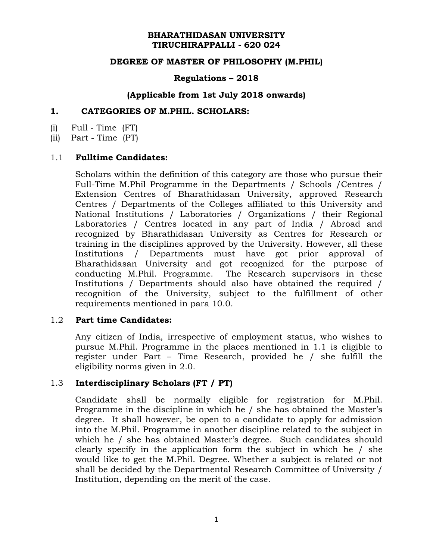### **BHARATHIDASAN UNIVERSITY TIRUCHIRAPPALLI - 620 024**

## **DEGREE OF MASTER OF PHILOSOPHY (M.PHIL)**

### **Regulations – 2018**

### **(Applicable from 1st July 2018 onwards)**

### **1. CATEGORIES OF M.PHIL. SCHOLARS:**

(i) Full - Time (FT)

(ii) Part - Time (PT)

### 1.1 **Fulltime Candidates:**

Scholars within the definition of this category are those who pursue their Full-Time M.Phil Programme in the Departments / Schools /Centres / Extension Centres of Bharathidasan University, approved Research Centres / Departments of the Colleges affiliated to this University and National Institutions / Laboratories / Organizations / their Regional Laboratories / Centres located in any part of India / Abroad and recognized by Bharathidasan University as Centres for Research or training in the disciplines approved by the University. However, all these Institutions / Departments must have got prior approval of Bharathidasan University and got recognized for the purpose of conducting M.Phil. Programme. The Research supervisors in these Institutions / Departments should also have obtained the required / recognition of the University, subject to the fulfillment of other requirements mentioned in para 10.0.

### 1.2 **Part time Candidates:**

Any citizen of India, irrespective of employment status, who wishes to pursue M.Phil. Programme in the places mentioned in 1.1 is eligible to register under Part – Time Research, provided he / she fulfill the eligibility norms given in 2.0.

## 1.3 **Interdisciplinary Scholars (FT / PT)**

Candidate shall be normally eligible for registration for M.Phil. Programme in the discipline in which he / she has obtained the Master's degree. It shall however, be open to a candidate to apply for admission into the M.Phil. Programme in another discipline related to the subject in which he / she has obtained Master's degree. Such candidates should clearly specify in the application form the subject in which he / she would like to get the M.Phil. Degree. Whether a subject is related or not shall be decided by the Departmental Research Committee of University / Institution, depending on the merit of the case.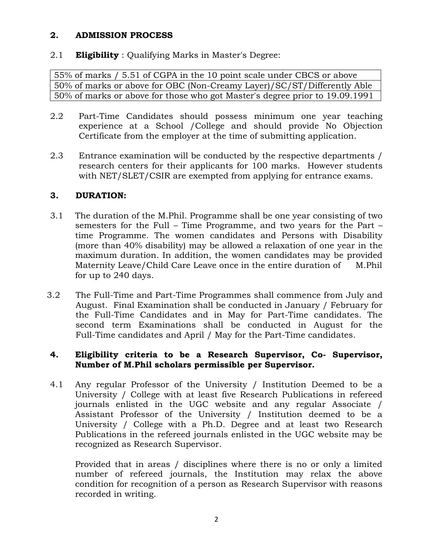## **2. ADMISSION PROCESS**

# 2.1 **Eligibility** : Qualifying Marks in Master's Degree:

55% of marks / 5.51 of CGPA in the 10 point scale under CBCS or above 50% of marks or above for OBC (Non-Creamy Layer)/SC/ST/Differently Able 50% of marks or above for those who got Master's degree prior to 19.09.1991

- 2.2 Part-Time Candidates should possess minimum one year teaching experience at a School /College and should provide No Objection Certificate from the employer at the time of submitting application.
- 2.3 Entrance examination will be conducted by the respective departments / research centers for their applicants for 100 marks. However students with NET/SLET/CSIR are exempted from applying for entrance exams.

# **3. DURATION:**

- 3.1 The duration of the M.Phil. Programme shall be one year consisting of two semesters for the Full – Time Programme, and two years for the Part – time Programme. The women candidates and Persons with Disability (more than 40% disability) may be allowed a relaxation of one year in the maximum duration. In addition, the women candidates may be provided Maternity Leave/Child Care Leave once in the entire duration of M.Phil for up to 240 days.
- 3.2 The Full-Time and Part-Time Programmes shall commence from July and August. Final Examination shall be conducted in January / February for the Full-Time Candidates and in May for Part-Time candidates. The second term Examinations shall be conducted in August for the Full-Time candidates and April / May for the Part-Time candidates.

## **4. Eligibility criteria to be a Research Supervisor, Co- Supervisor, Number of M.Phil scholars permissible per Supervisor.**

4.1 Any regular Professor of the University / Institution Deemed to be a University / College with at least five Research Publications in refereed journals enlisted in the UGC website and any regular Associate / Assistant Professor of the University / Institution deemed to be a University / College with a Ph.D. Degree and at least two Research Publications in the refereed journals enlisted in the UGC website may be recognized as Research Supervisor.

Provided that in areas / disciplines where there is no or only a limited number of refereed journals, the Institution may relax the above condition for recognition of a person as Research Supervisor with reasons recorded in writing.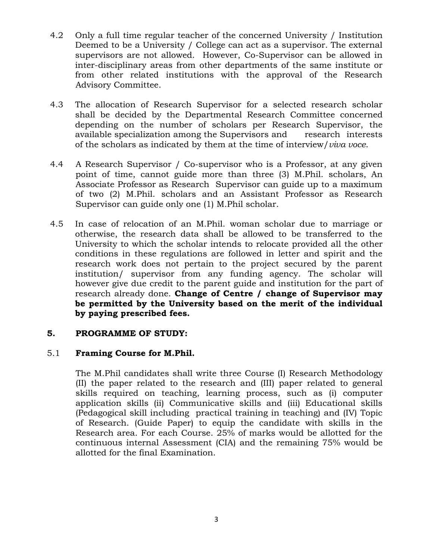- 4.2 Only a full time regular teacher of the concerned University / Institution Deemed to be a University / College can act as a supervisor. The external supervisors are not allowed. However, Co-Supervisor can be allowed in inter-disciplinary areas from other departments of the same institute or from other related institutions with the approval of the Research Advisory Committee.
- 4.3 The allocation of Research Supervisor for a selected research scholar shall be decided by the Departmental Research Committee concerned depending on the number of scholars per Research Supervisor, the available specialization among the Supervisors and research interests of the scholars as indicated by them at the time of interview/*viva voce*.
- 4.4 A Research Supervisor / Co-supervisor who is a Professor, at any given point of time, cannot guide more than three (3) M.Phil. scholars, An Associate Professor as Research Supervisor can guide up to a maximum of two (2) M.Phil. scholars and an Assistant Professor as Research Supervisor can guide only one (1) M.Phil scholar.
- 4.5 In case of relocation of an M.Phil. woman scholar due to marriage or otherwise, the research data shall be allowed to be transferred to the University to which the scholar intends to relocate provided all the other conditions in these regulations are followed in letter and spirit and the research work does not pertain to the project secured by the parent institution/ supervisor from any funding agency. The scholar will however give due credit to the parent guide and institution for the part of research already done. **Change of Centre / change of Supervisor may be permitted by the University based on the merit of the individual by paying prescribed fees.**

## **5. PROGRAMME OF STUDY:**

## 5.1 **Framing Course for M.Phil.**

The M.Phil candidates shall write three Course (I) Research Methodology (II) the paper related to the research and (III) paper related to general skills required on teaching, learning process, such as (i) computer application skills (ii) Communicative skills and (iii) Educational skills (Pedagogical skill including practical training in teaching) and (IV) Topic of Research. (Guide Paper) to equip the candidate with skills in the Research area. For each Course. 25% of marks would be allotted for the continuous internal Assessment (CIA) and the remaining 75% would be allotted for the final Examination.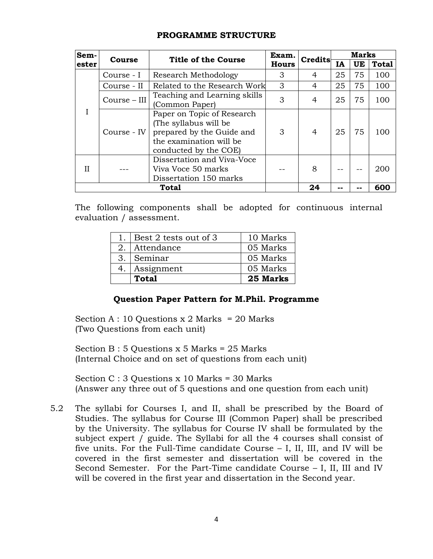| Sem-         | Course       | Title of the Course                                                                                                                  | Exam.        | Credits | <b>Marks</b> |     |              |
|--------------|--------------|--------------------------------------------------------------------------------------------------------------------------------------|--------------|---------|--------------|-----|--------------|
| ester        |              |                                                                                                                                      | <b>Hours</b> |         | IA           | UE  | <b>Total</b> |
|              | Course - I   | Research Methodology                                                                                                                 | 3            | 4       | 25           | 75  | 100          |
|              | Course - II  | 3<br>Related to the Research Work                                                                                                    |              | 4       | 25           | 75  | 100          |
|              | Course - III | Teaching and Learning skills<br>3<br>(Common Paper)                                                                                  |              | 4       | 25           | 75  | 100          |
|              | Course - IV  | Paper on Topic of Research<br>(The syllabus will be<br>prepared by the Guide and<br>the examination will be<br>conducted by the COE) | 3            | 4       | 25           | 75  | 100          |
| Н            |              | Dissertation and Viva-Voce<br>Viva Voce 50 marks<br>Dissertation 150 marks                                                           |              | 8       |              |     | 200          |
| <b>Total</b> |              |                                                                                                                                      | 24           |         |              | 600 |              |

### **PROGRAMME STRUCTURE**

The following components shall be adopted for continuous internal evaluation / assessment.

|        | Best 2 tests out of 3 | 10 Marks |
|--------|-----------------------|----------|
| $-2$ . | Attendance            | 05 Marks |
| 3.     | Seminar               | 05 Marks |
| 4.     | Assignment            | 05 Marks |
|        | Total                 | 25 Marks |

## **Question Paper Pattern for M.Phil. Programme**

Section A : 10 Questions  $x$  2 Marks = 20 Marks (Two Questions from each unit)

Section B : 5 Questions x 5 Marks = 25 Marks (Internal Choice and on set of questions from each unit)

Section C : 3 Questions x 10 Marks = 30 Marks (Answer any three out of 5 questions and one question from each unit)

5.2 The syllabi for Courses I, and II, shall be prescribed by the Board of Studies. The syllabus for Course III (Common Paper) shall be prescribed by the University. The syllabus for Course IV shall be formulated by the subject expert / guide. The Syllabi for all the 4 courses shall consist of five units. For the Full-Time candidate Course – I, II, III, and IV will be covered in the first semester and dissertation will be covered in the Second Semester. For the Part-Time candidate Course – I, II, III and IV will be covered in the first year and dissertation in the Second year.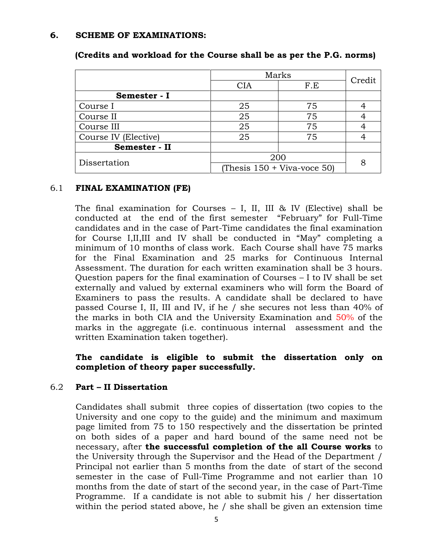### **6. SCHEME OF EXAMINATIONS:**

|                      | Marks                         |     | Credit |
|----------------------|-------------------------------|-----|--------|
|                      | <b>CIA</b>                    | F.E |        |
| Semester - I         |                               |     |        |
| Course I             | 25                            | 75  |        |
| Course II            | 25                            | 75  |        |
| Course III           | 25                            | 75  |        |
| Course IV (Elective) | 25                            | 75  |        |
| Semester - II        |                               |     |        |
| Dissertation         | 200                           |     |        |
|                      | (Thesis $150 +$ Viva-voce 50) |     |        |

# **(Credits and workload for the Course shall be as per the P.G. norms)**

# 6.1 **FINAL EXAMINATION (FE)**

The final examination for Courses  $-$  I, II, III & IV (Elective) shall be conducted at the end of the first semester "February" for Full-Time candidates and in the case of Part-Time candidates the final examination for Course I,II,III and IV shall be conducted in "May" completing a minimum of 10 months of class work. Each Course shall have 75 marks for the Final Examination and 25 marks for Continuous Internal Assessment. The duration for each written examination shall be 3 hours. Question papers for the final examination of Courses – I to IV shall be set externally and valued by external examiners who will form the Board of Examiners to pass the results. A candidate shall be declared to have passed Course I, II, III and IV, if he / she secures not less than 40% of the marks in both CIA and the University Examination and 50% of the marks in the aggregate (i.e. continuous internal assessment and the written Examination taken together).

# **The candidate is eligible to submit the dissertation only on completion of theory paper successfully.**

## 6.2 **Part – II Dissertation**

Candidates shall submit three copies of dissertation (two copies to the University and one copy to the guide) and the minimum and maximum page limited from 75 to 150 respectively and the dissertation be printed on both sides of a paper and hard bound of the same need not be necessary, after **the successful completion of the all Course works** to the University through the Supervisor and the Head of the Department / Principal not earlier than 5 months from the date of start of the second semester in the case of Full-Time Programme and not earlier than 10 months from the date of start of the second year, in the case of Part-Time Programme. If a candidate is not able to submit his / her dissertation within the period stated above, he / she shall be given an extension time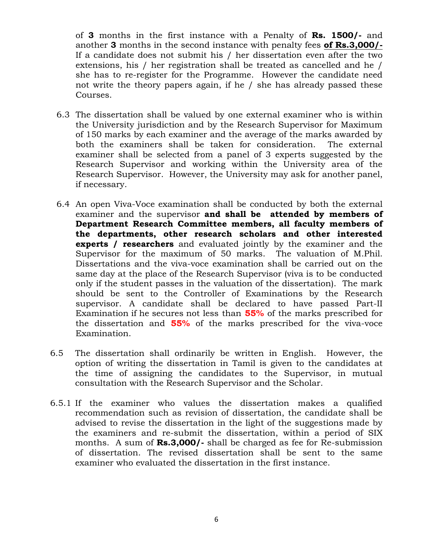of **3** months in the first instance with a Penalty of **Rs. 1500/-** and another **3** months in the second instance with penalty fees **of Rs.3,000/-** If a candidate does not submit his / her dissertation even after the two extensions, his / her registration shall be treated as cancelled and he / she has to re-register for the Programme. However the candidate need not write the theory papers again, if he / she has already passed these Courses.

- 6.3 The dissertation shall be valued by one external examiner who is within the University jurisdiction and by the Research Supervisor for Maximum of 150 marks by each examiner and the average of the marks awarded by both the examiners shall be taken for consideration. The external examiner shall be selected from a panel of 3 experts suggested by the Research Supervisor and working within the University area of the Research Supervisor. However, the University may ask for another panel, if necessary.
- 6.4 An open Viva-Voce examination shall be conducted by both the external examiner and the supervisor **and shall be attended by members of Department Research Committee members, all faculty members of the departments, other research scholars and other interested experts / researchers** and evaluated jointly by the examiner and the Supervisor for the maximum of 50 marks. The valuation of M.Phil. Dissertations and the viva-voce examination shall be carried out on the same day at the place of the Research Supervisor (viva is to be conducted only if the student passes in the valuation of the dissertation). The mark should be sent to the Controller of Examinations by the Research supervisor. A candidate shall be declared to have passed Part-II Examination if he secures not less than **55%** of the marks prescribed for the dissertation and **55%** of the marks prescribed for the viva-voce Examination.
- 6.5 The dissertation shall ordinarily be written in English. However, the option of writing the dissertation in Tamil is given to the candidates at the time of assigning the candidates to the Supervisor, in mutual consultation with the Research Supervisor and the Scholar.
- 6.5.1 If the examiner who values the dissertation makes a qualified recommendation such as revision of dissertation, the candidate shall be advised to revise the dissertation in the light of the suggestions made by the examiners and re-submit the dissertation, within a period of SIX months. A sum of **Rs.3,000/-** shall be charged as fee for Re-submission of dissertation. The revised dissertation shall be sent to the same examiner who evaluated the dissertation in the first instance.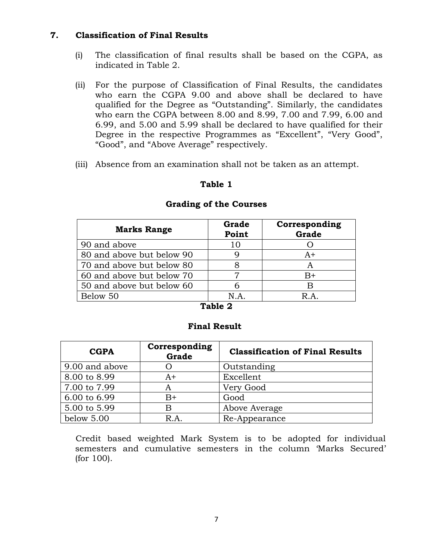## **7. Classification of Final Results**

- (i) The classification of final results shall be based on the CGPA, as indicated in Table 2.
- (ii) For the purpose of Classification of Final Results, the candidates who earn the CGPA 9.00 and above shall be declared to have qualified for the Degree as "Outstanding". Similarly, the candidates who earn the CGPA between 8.00 and 8.99, 7.00 and 7.99, 6.00 and 6.99, and 5.00 and 5.99 shall be declared to have qualified for their Degree in the respective Programmes as "Excellent", "Very Good", "Good", and "Above Average" respectively.
- (iii) Absence from an examination shall not be taken as an attempt.

## **Table 1**

| <b>Marks Range</b>        | Grade<br>Point | Corresponding<br>Grade |
|---------------------------|----------------|------------------------|
| 90 and above              | 10             |                        |
| 80 and above but below 90 |                | $A+$                   |
| 70 and above but below 80 | 8              | A                      |
| 60 and above but below 70 |                | $B+$                   |
| 50 and above but below 60 | h              | B                      |
| Below 50                  | N.A.           | R A                    |

#### **Grading of the Courses**

#### **Table 2**

### **Final Result**

| <b>CGPA</b>    | Corresponding<br>Grade | <b>Classification of Final Results</b> |
|----------------|------------------------|----------------------------------------|
| 9.00 and above |                        | Outstanding                            |
| 8.00 to 8.99   | $A+$                   | Excellent                              |
| 7.00 to 7.99   | A                      | Very Good                              |
| 6.00 to 6.99   | $B+$                   | Good                                   |
| 5.00 to 5.99   | В                      | Above Average                          |
| below $5.00$   | R.A.                   | Re-Appearance                          |

Credit based weighted Mark System is to be adopted for individual semesters and cumulative semesters in the column "Marks Secured" (for 100).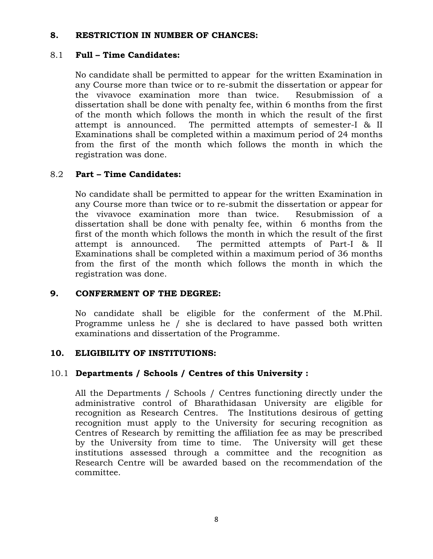### **8. RESTRICTION IN NUMBER OF CHANCES:**

### 8.1 **Full – Time Candidates:**

No candidate shall be permitted to appear for the written Examination in any Course more than twice or to re-submit the dissertation or appear for the vivavoce examination more than twice. Resubmission of a dissertation shall be done with penalty fee, within 6 months from the first of the month which follows the month in which the result of the first attempt is announced. The permitted attempts of semester-I & II Examinations shall be completed within a maximum period of 24 months from the first of the month which follows the month in which the registration was done.

# 8.2 **Part – Time Candidates:**

No candidate shall be permitted to appear for the written Examination in any Course more than twice or to re-submit the dissertation or appear for the vivavoce examination more than twice. Resubmission of a dissertation shall be done with penalty fee, within 6 months from the first of the month which follows the month in which the result of the first attempt is announced. The permitted attempts of Part-I & II Examinations shall be completed within a maximum period of 36 months from the first of the month which follows the month in which the registration was done.

## **9. CONFERMENT OF THE DEGREE:**

No candidate shall be eligible for the conferment of the M.Phil. Programme unless he / she is declared to have passed both written examinations and dissertation of the Programme.

## **10. ELIGIBILITY OF INSTITUTIONS:**

## 10.1 **Departments / Schools / Centres of this University :**

All the Departments / Schools / Centres functioning directly under the administrative control of Bharathidasan University are eligible for recognition as Research Centres. The Institutions desirous of getting recognition must apply to the University for securing recognition as Centres of Research by remitting the affiliation fee as may be prescribed by the University from time to time. The University will get these institutions assessed through a committee and the recognition as Research Centre will be awarded based on the recommendation of the committee.